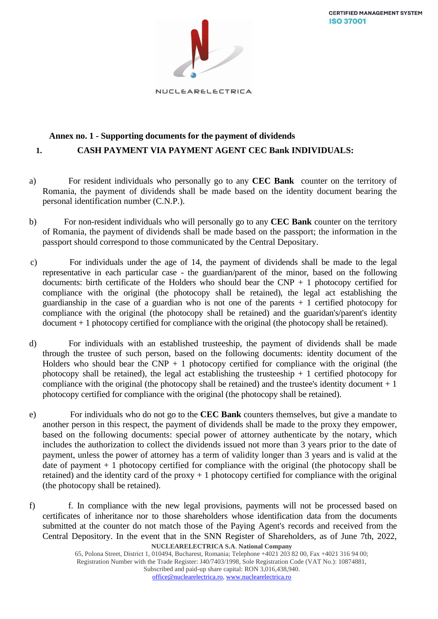**CERTIFIED MANAGEMENT SYSTEM ISO 37001** 



NUCLEARELECTRICA

## **Annex no. 1 - Supporting documents for the payment of dividends 1. CASH PAYMENT VIA PAYMENT AGENT CEC Bank INDIVIDUALS:**

- a) For resident individuals who personally go to any **CEC Bank** counter on the territory of Romania, the payment of dividends shall be made based on the identity document bearing the personal identification number (C.N.P.).
- b) For non-resident individuals who will personally go to any **CEC Bank** counter on the territory of Romania, the payment of dividends shall be made based on the passport; the information in the passport should correspond to those communicated by the Central Depositary.
- c) For individuals under the age of 14, the payment of dividends shall be made to the legal representative in each particular case - the guardian/parent of the minor, based on the following documents: birth certificate of the Holders who should bear the  $CNP + 1$  photocopy certified for compliance with the original (the photocopy shall be retained), the legal act establishing the guardianship in the case of a guardian who is not one of the parents  $+1$  certified photocopy for compliance with the original (the photocopy shall be retained) and the guaridan's/parent's identity document + 1 photocopy certified for compliance with the original (the photocopy shall be retained).
- d) For individuals with an established trusteeship, the payment of dividends shall be made through the trustee of such person, based on the following documents: identity document of the Holders who should bear the CNP  $+$  1 photocopy certified for compliance with the original (the photocopy shall be retained), the legal act establishing the trusteeship  $+1$  certified photocopy for compliance with the original (the photocopy shall be retained) and the trustee's identity document  $+1$ photocopy certified for compliance with the original (the photocopy shall be retained).
- e) For individuals who do not go to the **CEC Bank** counters themselves, but give a mandate to another person in this respect, the payment of dividends shall be made to the proxy they empower, based on the following documents: special power of attorney authenticate by the notary, which includes the authorization to collect the dividends issued not more than 3 years prior to the date of payment, unless the power of attorney has a term of validity longer than 3 years and is valid at the date of payment  $+1$  photocopy certified for compliance with the original (the photocopy shall be retained) and the identity card of the proxy  $+1$  photocopy certified for compliance with the original (the photocopy shall be retained).
- **NUCLEARELECTRICA S.A**. **National Company** f) f. In compliance with the new legal provisions, payments will not be processed based on certificates of inheritance nor to those shareholders whose identification data from the documents submitted at the counter do not match those of the Paying Agent's records and received from the Central Depository. In the event that in the SNN Register of Shareholders, as of June 7th, 2022,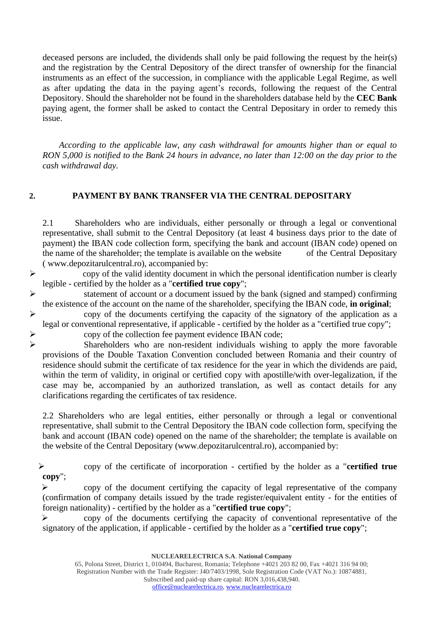deceased persons are included, the dividends shall only be paid following the request by the heir(s) and the registration by the Central Depository of the direct transfer of ownership for the financial instruments as an effect of the succession, in compliance with the applicable Legal Regime, as well as after updating the data in the paying agent's records, following the request of the Central Depository. Should the shareholder not be found in the shareholders database held by the **CEC Bank** paying agent, the former shall be asked to contact the Central Depositary in order to remedy this issue.

*According to the applicable law, any cash withdrawal for amounts higher than or equal to RON 5,000 is notified to the Bank 24 hours in advance, no later than 12:00 on the day prior to the cash withdrawal day.*

## **2. PAYMENT BY BANK TRANSFER VIA THE CENTRAL DEPOSITARY**

2.1 Shareholders who are individuals, either personally or through a legal or conventional representative, shall submit to the Central Depository (at least 4 business days prior to the date of payment) the IBAN code collection form, specifying the bank and account (IBAN code) opened on the name of the shareholder; the template is available on the website of the Central Depositary ( www.depozitarulcentral.ro), accompanied by:

 $\triangleright$  copy of the valid identity document in which the personal identification number is clearly legible - certified by the holder as a "**certified true copy**";

➢ statement of account or a document issued by the bank (signed and stamped) confirming the existence of the account on the name of the shareholder, specifying the IBAN code, **in original**;

➢ copy of the documents certifying the capacity of the signatory of the application as a legal or conventional representative, if applicable - certified by the holder as a "certified true copy";

 $\triangleright$  copy of the collection fee payment evidence IBAN code;<br>Shareholders who are non-resident individuals wishing

Shareholders who are non-resident individuals wishing to apply the more favorable provisions of the Double Taxation Convention concluded between Romania and their country of residence should submit the certificate of tax residence for the year in which the dividends are paid, within the term of validity, in original or certified copy with apostille/with over-legalization, if the case may be, accompanied by an authorized translation, as well as contact details for any clarifications regarding the certificates of tax residence.

2.2 Shareholders who are legal entities, either personally or through a legal or conventional representative, shall submit to the Central Depository the IBAN code collection form, specifying the bank and account (IBAN code) opened on the name of the shareholder; the template is available on the website of the Central Depositary (www.depozitarulcentral.ro), accompanied by:

➢ copy of the certificate of incorporation - certified by the holder as a "**certified true copy**";

➢ copy of the document certifying the capacity of legal representative of the company (confirmation of company details issued by the trade register/equivalent entity - for the entities of foreign nationality) - certified by the holder as a "**certified true copy**";

➢ copy of the documents certifying the capacity of conventional representative of the signatory of the application, if applicable - certified by the holder as a "**certified true copy**";

**NUCLEARELECTRICA S.A**. **National Company**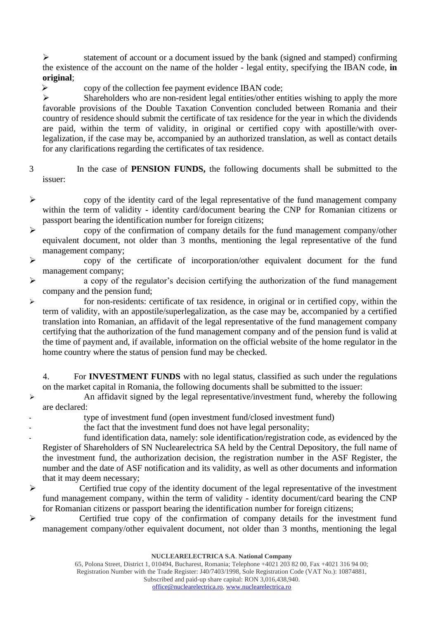➢ statement of account or a document issued by the bank (signed and stamped) confirming the existence of the account on the name of the holder - legal entity, specifying the IBAN code, **in original**;

➢ copy of the collection fee payment evidence IBAN code;

➢ Shareholders who are non-resident legal entities/other entities wishing to apply the more favorable provisions of the Double Taxation Convention concluded between Romania and their country of residence should submit the certificate of tax residence for the year in which the dividends are paid, within the term of validity, in original or certified copy with apostille/with overlegalization, if the case may be, accompanied by an authorized translation, as well as contact details for any clarifications regarding the certificates of tax residence.

- 3 In the case of **PENSION FUNDS,** the following documents shall be submitted to the issuer:
- ➢ copy of the identity card of the legal representative of the fund management company within the term of validity - identity card/document bearing the CNP for Romanian citizens or passport bearing the identification number for foreign citizens;
- ➢ copy of the confirmation of company details for the fund management company/other equivalent document, not older than 3 months, mentioning the legal representative of the fund management company;
- ➢ copy of the certificate of incorporation/other equivalent document for the fund management company;
- ➢ a copy of the regulator's decision certifying the authorization of the fund management company and the pension fund;
- ➢ for non-residents: certificate of tax residence, in original or in certified copy, within the term of validity, with an appostile/superlegalization, as the case may be, accompanied by a certified translation into Romanian, an affidavit of the legal representative of the fund management company certifying that the authorization of the fund management company and of the pension fund is valid at the time of payment and, if available, information on the official website of the home regulator in the home country where the status of pension fund may be checked.

4. For **INVESTMENT FUNDS** with no legal status, classified as such under the regulations on the market capital in Romania, the following documents shall be submitted to the issuer:

- ➢ An affidavit signed by the legal representative/investment fund, whereby the following are declared:
	- type of investment fund (open investment fund/closed investment fund)
	- the fact that the investment fund does not have legal personality;
- fund identification data, namely: sole identification/registration code, as evidenced by the Register of Shareholders of SN Nuclearelectrica SA held by the Central Depository, the full name of the investment fund, the authorization decision, the registration number in the ASF Register, the number and the date of ASF notification and its validity, as well as other documents and information that it may deem necessary;
- ➢ Certified true copy of the identity document of the legal representative of the investment fund management company, within the term of validity - identity document/card bearing the CNP for Romanian citizens or passport bearing the identification number for foreign citizens;

➢ Certified true copy of the confirmation of company details for the investment fund management company/other equivalent document, not older than 3 months, mentioning the legal

**NUCLEARELECTRICA S.A**. **National Company**

65, Polona Street, District 1, 010494, Bucharest, Romania; Telephone +4021 203 82 00, Fax +4021 316 94 00; Registration Number with the Trade Register: J40/7403/1998, Sole Registration Code (VAT No.): 10874881, Subscribed and paid-up share capital: RON 3,016,438,940. [office@nuclearelectrica.ro,](mailto:office@nuclearelectrica.ro) [www.nuclearelectrica.ro](http://www.nuclearelectrica.ro/)